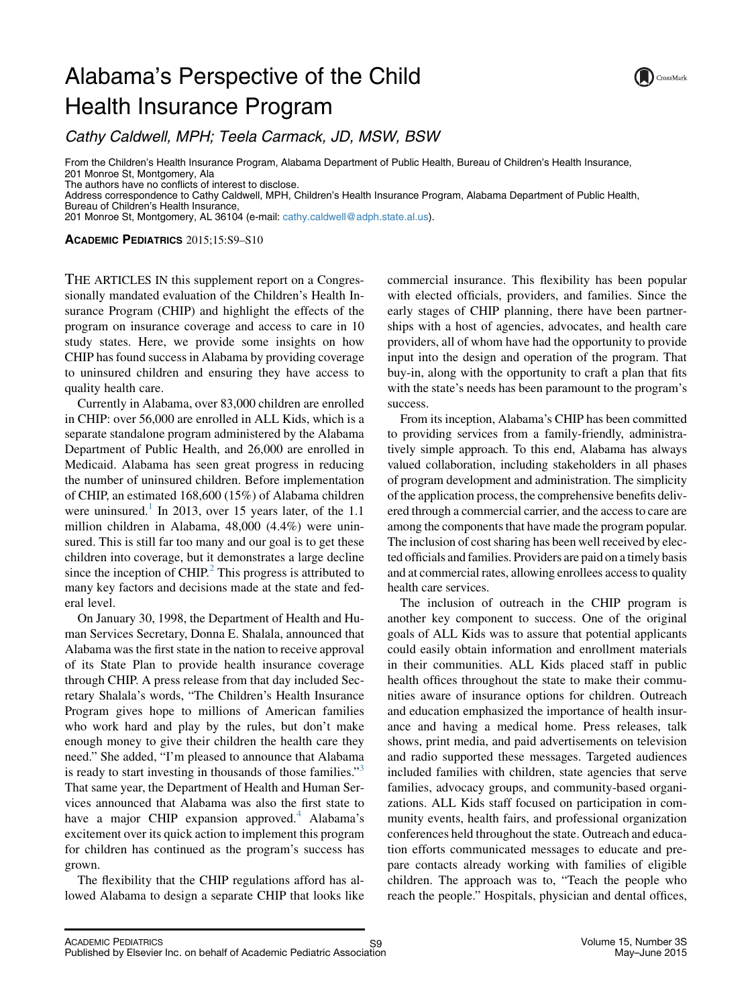## Alabama's Perspective of the Child Health Insurance Program



Cathy Caldwell, MPH; Teela Carmack, JD, MSW, BSW

From the Children's Health Insurance Program, Alabama Department of Public Health, Bureau of Children's Health Insurance, 201 Monroe St, Montgomery, Ala

The authors have no conflicts of interest to disclose.

Address correspondence to Cathy Caldwell, MPH, Children's Health Insurance Program, Alabama Department of Public Health, Bureau of Children's Health Insurance,

201 Monroe St, Montgomery, AL 36104 (e-mail: [cathy.caldwell@adph.state.al.us](mailto:cathy.caldwell@adph.state.al.us)).

ACADEMIC PEDIATRICS 2015;15:S9–S10

THE ARTICLES IN this supplement report on a Congressionally mandated evaluation of the Children's Health Insurance Program (CHIP) and highlight the effects of the program on insurance coverage and access to care in 10 study states. Here, we provide some insights on how CHIP has found success in Alabama by providing coverage to uninsured children and ensuring they have access to quality health care.

Currently in Alabama, over 83,000 children are enrolled in CHIP: over 56,000 are enrolled in ALL Kids, which is a separate standalone program administered by the Alabama Department of Public Health, and 26,000 are enrolled in Medicaid. Alabama has seen great progress in reducing the number of uninsured children. Before implementation of CHIP, an estimated 168,600 (15%) of Alabama children were uninsured.<sup>[1](#page-1-0)</sup> In 2013, over 15 years later, of the 1.1 million children in Alabama, 48,000 (4.4%) were uninsured. This is still far too many and our goal is to get these children into coverage, but it demonstrates a large decline since the inception of  $CHIP<sup>2</sup>$  $CHIP<sup>2</sup>$  $CHIP<sup>2</sup>$ . This progress is attributed to many key factors and decisions made at the state and federal level.

On January 30, 1998, the Department of Health and Human Services Secretary, Donna E. Shalala, announced that Alabama was the first state in the nation to receive approval of its State Plan to provide health insurance coverage through CHIP. A press release from that day included Secretary Shalala's words, "The Children's Health Insurance Program gives hope to millions of American families who work hard and play by the rules, but don't make enough money to give their children the health care they need." She added, "I'm pleased to announce that Alabama is ready to start investing in thousands of those families."<sup>[3](#page-1-0)</sup> That same year, the Department of Health and Human Services announced that Alabama was also the first state to have a major CHIP expansion approved.<sup>[4](#page-1-0)</sup> Alabama's excitement over its quick action to implement this program for children has continued as the program's success has grown.

The flexibility that the CHIP regulations afford has allowed Alabama to design a separate CHIP that looks like commercial insurance. This flexibility has been popular with elected officials, providers, and families. Since the early stages of CHIP planning, there have been partnerships with a host of agencies, advocates, and health care providers, all of whom have had the opportunity to provide input into the design and operation of the program. That buy-in, along with the opportunity to craft a plan that fits with the state's needs has been paramount to the program's success.

From its inception, Alabama's CHIP has been committed to providing services from a family-friendly, administratively simple approach. To this end, Alabama has always valued collaboration, including stakeholders in all phases of program development and administration. The simplicity of the application process, the comprehensive benefits delivered through a commercial carrier, and the access to care are among the components that have made the program popular. The inclusion of cost sharing has been well received by elected officials and families. Providers are paid on a timely basis and at commercial rates, allowing enrollees access to quality health care services.

The inclusion of outreach in the CHIP program is another key component to success. One of the original goals of ALL Kids was to assure that potential applicants could easily obtain information and enrollment materials in their communities. ALL Kids placed staff in public health offices throughout the state to make their communities aware of insurance options for children. Outreach and education emphasized the importance of health insurance and having a medical home. Press releases, talk shows, print media, and paid advertisements on television and radio supported these messages. Targeted audiences included families with children, state agencies that serve families, advocacy groups, and community-based organizations. ALL Kids staff focused on participation in community events, health fairs, and professional organization conferences held throughout the state. Outreach and education efforts communicated messages to educate and prepare contacts already working with families of eligible children. The approach was to, "Teach the people who reach the people." Hospitals, physician and dental offices,